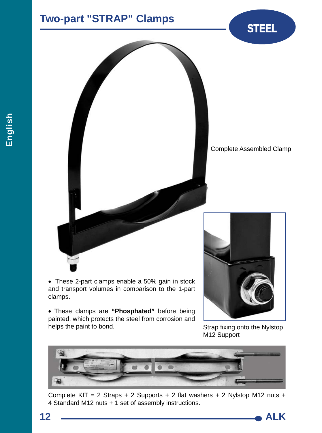## **Two-part "STRAP" Clamps STEEL**





 These 2-part clamps enable a 50% gain in stock and transport volumes in comparison to the 1-part clamps.

 These clamps are **"Phosphated"** before being painted, which protects the steel from corrosion and helps the paint to bond.



Strap fixing onto the Nylstop M12 Support



Complete KIT = 2 Straps + 2 Supports + 2 flat washers + 2 Nylstop M12 nuts + 4 Standard M12 nuts + 1 set of assembly instructions.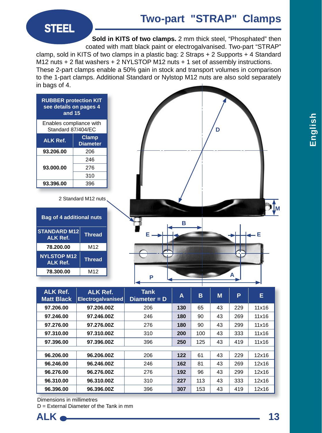**STEEL**

**Sold in KITS of two clamps.** 2 mm thick steel, "Phosphated" then coated with matt black paint or electrogalvanised. Two-part "STRAP"

clamp, sold in KITS of two clamps in a plastic bag: 2 Straps + 2 Supports + 4 Standard M12 nuts  $+ 2$  flat washers  $+ 2$  NYLSTOP M12 nuts  $+ 1$  set of assembly instructions. These 2-part clamps enable a 50% gain in stock and transport volumes in comparison to the 1-part clamps. Additional Standard or Nylstop M12 nuts are also sold separately in bags of 4.

| <b>RUBBER protection KIT</b><br>see details on pages 4<br>and 15 |                                 |  |  |  |  |  |  |
|------------------------------------------------------------------|---------------------------------|--|--|--|--|--|--|
| Enables compliance with<br>Standard 87/404/EC                    |                                 |  |  |  |  |  |  |
| <b>ALK Ref.</b>                                                  | <b>Clamp</b><br><b>Diameter</b> |  |  |  |  |  |  |
| 93.206.00                                                        | 206                             |  |  |  |  |  |  |
|                                                                  | 246                             |  |  |  |  |  |  |
| 93.000.00                                                        | 276                             |  |  |  |  |  |  |
|                                                                  | 310                             |  |  |  |  |  |  |
| 93.396.00                                                        | 396                             |  |  |  |  |  |  |

2 Standard M12 nuts

| <b>Bag of 4 additional nuts</b>        |                 |  |  |  |  |
|----------------------------------------|-----------------|--|--|--|--|
| <b>STANDARD M12</b><br><b>ALK Ref.</b> | <b>Thread</b>   |  |  |  |  |
| 78.200.00                              | M <sub>12</sub> |  |  |  |  |
| <b>NYLSTOP M12</b><br><b>ALK Ref.</b>  | <b>Thread</b>   |  |  |  |  |
| 78.300.00                              | M <sub>12</sub> |  |  |  |  |



| <b>ALK Ref.</b><br><b>Matt Black</b> | <b>ALK Ref.</b><br>Electrogalvanised | <b>Tank</b><br>Diameter = D | Α   | в   | M  | P   | Е     |  |  |
|--------------------------------------|--------------------------------------|-----------------------------|-----|-----|----|-----|-------|--|--|
| 97.206.00                            | 97.206.00Z                           | 206                         | 130 | 65  | 43 | 229 | 11x16 |  |  |
| 97.246.00                            | 97.246.00Z                           | 246                         | 180 | 90  | 43 | 269 | 11x16 |  |  |
| 97.276.00                            | 97.276.00Z                           | 276                         | 180 | 90  | 43 | 299 | 11x16 |  |  |
| 97.310.00                            | 97.310.00Z                           | 310                         | 200 | 100 | 43 | 333 | 11x16 |  |  |
| 97.396.00                            | 97.396.00Z                           | 396                         | 250 | 125 | 43 | 419 | 11x16 |  |  |
|                                      |                                      |                             |     |     |    |     |       |  |  |
| 96.206.00                            | 96.206.00Z                           | 206                         | 122 | 61  | 43 | 229 | 12x16 |  |  |
| 96.246.00                            | 96.246.00Z                           | 246                         | 162 | 81  | 43 | 269 | 12x16 |  |  |
| 96.276.00                            | 96.276.00Z                           | 276                         | 192 | 96  | 43 | 299 | 12x16 |  |  |
| 96.310.00                            | 96.310.00Z                           | 310                         | 227 | 113 | 43 | 333 | 12x16 |  |  |
| 96.396.00                            | 96.396.00Z                           | 396                         | 307 | 153 | 43 | 419 | 12x16 |  |  |

Dimensions in millimetres

D = External Diameter of the Tank in mm